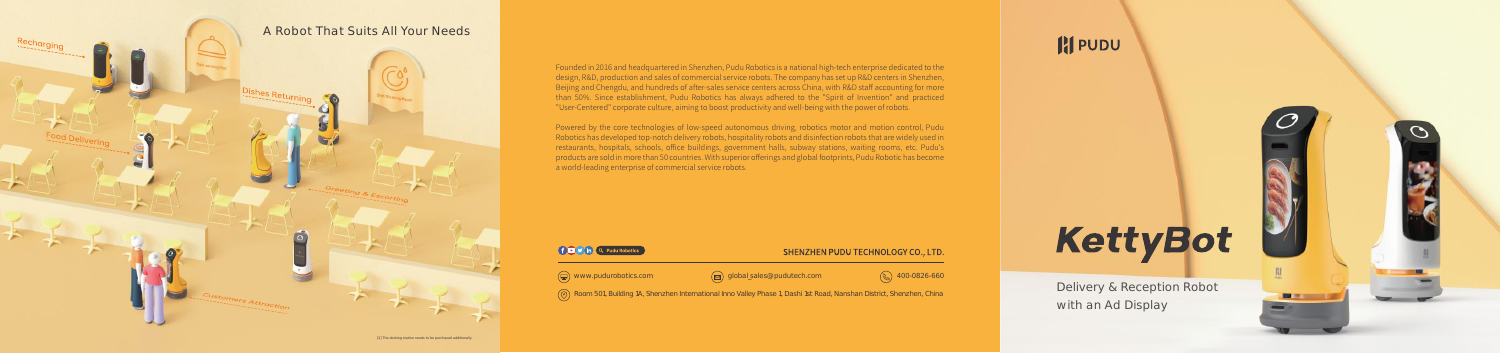Delivery & Reception Robot with an Ad Display





Founded in 2016 and headquartered in Shenzhen, Pudu Robotics is a national high-tech enterprise dedicated to the design, R&D, production and sales of commercial service robots. The company has set up R&D centers in Shenzhen, Beijing and Chengdu, and hundreds of after-sales service centers across China, with R&D staff accounting for more than 50%. Since establishment, Pudu Robotics has always adhered to the "Spirit of Invention" and practiced "User-Centered" corporate culture, aiming to boost productivity and well-being with the power of robots.

Powered by the core technologies of low-speed autonomous driving, robotics motor and motion control, Pudu Robotics has developed top-notch delivery robots, hospitality robots and disinfection robots that are widely used in restaurants, hospitals, schools, office buildings, government halls, subway stations, waiting rooms, etc. Pudu's products are sold in more than 50 countries. With superior offerings and global footprints, Pudu Robotic has become a world-leading enterprise of commercial service robots.

### f v in Q Pudu Robotics





(©) Room 501, Building 1A, Shenzhen International Inno Valley Phase 1, Dashi 1st Road, Nanshan District, Shenzhen, China

## SHENZHEN PUDU TECHNOLOGY CO., LTD.

**HI PUDU** 

# KettyBot